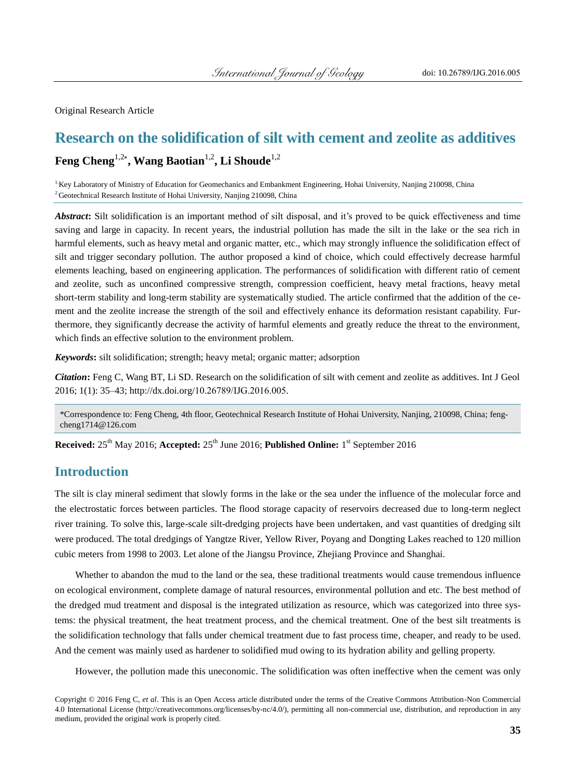Original Research Article

# **Research on the solidification of silt with cement and zeolite as additives Feng Cheng**1,2\* **, Wang Baotian**1,2**, Li Shoude**1,2

<sup>1</sup>Key Laboratory of Ministry of Education for Geomechanics and Embankment Engineering, Hohai University, Nanjing 210098, China <sup>2</sup> Geotechnical Research Institute of Hohai University, Nanjing 210098, China

*Abstract***:** Silt solidification is an important method of silt disposal, and it's proved to be quick effectiveness and time saving and large in capacity. In recent years, the industrial pollution has made the silt in the lake or the sea rich in harmful elements, such as heavy metal and organic matter, etc., which may strongly influence the solidification effect of silt and trigger secondary pollution. The author proposed a kind of choice, which could effectively decrease harmful elements leaching, based on engineering application. The performances of solidification with different ratio of cement and zeolite, such as unconfined compressive strength, compression coefficient, heavy metal fractions, heavy metal short-ter[m stability](http://dict.youdao.com/w/stability/) and long-ter[m stability](http://dict.youdao.com/w/stability/) are systematically studied. The article confirmed that the addition of the cement and the zeolite increase the strength of the soil and effectively enhance its deformation resistant capability. Furthermore, they significantly decrease the activity of harmful elements and greatly reduce the threat to the environment, which finds an effective solution to the environment problem.

*Keywords***:** silt solidification; strength; heavy metal; organic matter; adsorption

*Citation***:** Feng C, Wang BT, Li SD. Research on the solidification of silt with cement and zeolite as additives. Int J Geol 2016; 1(1): 35–43; http://dx.doi.org/10.26789/IJG.2016.005.

\*Correspondence to: Feng Cheng, 4th floor, Geotechnical Research Institute of Hohai University, Nanjing, 210098, China[; feng](mailto:fengcheng1714@126.com)[cheng1714@126.com](mailto:fengcheng1714@126.com)

**Received:**  $25^{\text{th}}$  May 2016; **Accepted:**  $25^{\text{th}}$  June 2016; **Published Online:** 1<sup>st</sup> September 2016

#### **Introduction**

The silt is clay mineral sediment that slowly forms in the lake or the sea under the influence of the molecular force and the electrostatic forces between particles. The flood storage capacity of [reservoirs](http://dict.youdao.com/w/reservoir/) decreased due to long-term neglect river training. To solve this, large-scale silt-dredging projects have been undertaken, and vast quantities of dredging silt were produced. The total dredgings of [Yangtze](http://dict.youdao.com/w/yangtze/) [River,](http://dict.youdao.com/w/river/) [Yellow](http://dict.youdao.com/w/yellow/) [River,](http://dict.youdao.com/w/river/) Poyang and Dongting Lakes reached to 120 million cubic meters from 1998 to 2003. Let alone of the Jiangsu Province, Zhejiang Province and Shanghai.

Whether to abandon the mud to the land or the sea, these traditional treatments would cause tremendous influence on ecological environment, complete damage of [natural](http://dict.youdao.com/w/natural/) [resources,](http://dict.youdao.com/w/resources/) environmental pollution and etc. The best method of the dredged mud treatment and disposal is the integrated utilization as resource, which was categorized into three systems: the physical treatment, the heat treatment process, and the chemical treatment. One of the best silt treatments is the solidification technology that falls under chemical treatment due to fast process time, cheaper, and ready to be used. And the cement was mainly used as hardener to solidified mud owing to its hydration ability and gelling property.

However, the pollution made this uneconomic. The solidification was often ineffective when the cement was only

Copyright © 2016 Feng C, *et al*. This is an Open Access article distributed under the terms of the Creative Commons Attribution-Non Commercial 4.0 International License (http://creativecommons.org/licenses/by-nc/4.0/), permitting all non-commercial use, distribution, and reproduction in any medium, provided the original work is properly cited.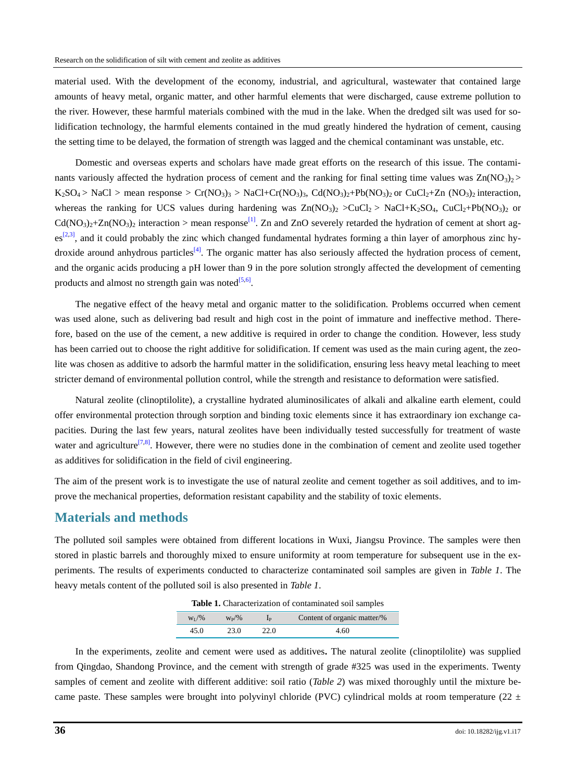material used. With the development of the economy, industrial, and agricultural, wastewater that contained large amounts of heavy metal, organic matter, and other harmful elements that were discharged, cause extreme pollution to the river. However, these harmful materials combined with the mud in the lake. When the dredged silt was used for solidification technology, the harmful elements contained in the mud greatly hindered the hydration of cement, causing the setting time to be delayed, the formation of strength was lagged and the chemical contaminant was unstable, etc.

Domestic and overseas experts and scholars have made great efforts on the research of this issue. The contaminants variously affected the hydration process of cement and the ranking for final setting time values was  $Zn(NO_3)_{2}$  $K_2SO_4$  > NaCl > mean response > Cr(NO<sub>3</sub>)<sub>3</sub> > NaCl+Cr(NO<sub>3</sub>)<sub>3</sub>, Cd(NO<sub>3</sub>)<sub>2</sub>+Pb(NO<sub>3</sub>)<sub>2</sub> or CuCl<sub>2</sub>+Zn (NO<sub>3</sub>)<sub>2</sub> interaction, whereas the ranking for UCS values during hardening was  $Zn(NO<sub>3</sub>)<sub>2</sub> > CuCl<sub>2</sub> > NaCl+K<sub>2</sub>SO<sub>4</sub>$ ,  $CuCl<sub>2</sub>+Pb(NO<sub>3</sub>)<sub>2</sub>$  or  $Cd(NO<sub>3</sub>)<sub>2</sub>+Zn(NO<sub>3</sub>)<sub>2</sub> interaction > mean response<sup>[1]</sup>. Zn and ZnO severely retarded the hydration of cement at short ag Cd(NO<sub>3</sub>)<sub>2</sub>+Zn(NO<sub>3</sub>)<sub>2</sub> interaction > mean response<sup>[1]</sup>. Zn and ZnO severely retarded the hydration of cement at short ag Cd(NO<sub>3</sub>)<sub>2</sub>+Zn(NO<sub>3</sub>)<sub>2</sub> interaction > mean response<sup>[1]</sup>. Zn and ZnO severely retarded the hydration of cement at short ag \text{es}^{[2,3]}$  $\text{es}^{[2,3]}$  $\text{es}^{[2,3]}$  $\text{es}^{[2,3]}$ , and it could probably the zinc which changed fundamental hydrates forming a thin layer of amorphous zinc hy-droxide around anhydrous particles<sup>[\[4\]](#page-8-3)</sup>. The organic matter has also seriously affected the hydration process of cement, and the organic acids producing a pH lower than 9 in the pore solution strongly affected the development of cementing products and almost no strength gain was noted $[5,6]$  $[5,6]$ .

The negative effect of the heavy metal and organic matter to the solidification. Problems occurred when cement was used alone, such as delivering bad result and high cost in the point of immature and ineffective method. Therefore, based on the use of the cement, a new additive is required in order to change the condition. However, less study has been carried out to choose the right additive for solidification. If cement was used as the main curing agent, the zeolite was chosen as additive to adsorb the harmful matter in the solidification, ensuring less heavy metal leaching to meet stricter demand of environmental pollution control, while the strength and resistance to deformation were satisfied.

Natural zeolite (clinoptilolite), a crystalline hydrated aluminosilicates of alkali and alkaline earth element, could offer environmental protection through sorption and binding toxic elements since it has extraordinary ion exchange capacities. During the last few years, natural zeolites have been individually tested successfully for treatment of waste water and agriculture<sup>[\[7,](#page-8-6)[8\]](#page-8-7)</sup>. However, there were no studies done in the combination of cement and zeolite used together as additives for solidification in the field of civil engineering.

The aim of the present work is to investigate the use of natural zeolite and cement together as soil additives, and to improve the mechanical properties, deformation resistant capability and the stability of toxic elements.

#### **Materials and methods**

The polluted soil samples were obtained from different locations in Wuxi, Jiangsu Province. The samples were then stored in plastic barrels and thoroughly mixed to ensure uniformity at room temperature for subsequent use in the experiments. The results of experiments conducted to characterize contaminated soil samples are given in *[Table 1](#page-1-0)*. The heavy metals [content](http://dict.cnki.net/dict_result.aspx?searchword=%e9%a2%97%e7%b2%92%e5%a4%a7%e5%b0%8f%e5%88%86%e5%b8%83%e6%9b%b2%e7%ba%bf&tjType=sentence&t=grain+size+distribution+curve) of the polluted soil is also presented in *[Table 1](#page-1-0)*.

| $W_I/\%$ | $W_{\rm p}/\%$ |      | Content of organic matter/% |
|----------|----------------|------|-----------------------------|
| 45.0     | 23.0           | 22.0 | 4.60                        |

**Table 1.** Characterization of contaminated soil samples

<span id="page-1-0"></span>In the experiments, zeolite and cement were used as additives**.** The natural zeolite (clinoptilolite) was supplied from Qingdao, Shandong Province, and the cement with strength of grade #325 was used in the experiments. Twenty samples of cement and zeolite with different additive: soil ratio (*[Table 2](#page-2-0)*) was mixed thoroughly until the mixture became paste. These samples were brought into polyvinyl chloride (PVC) cylindrical molds at room temperature (22  $\pm$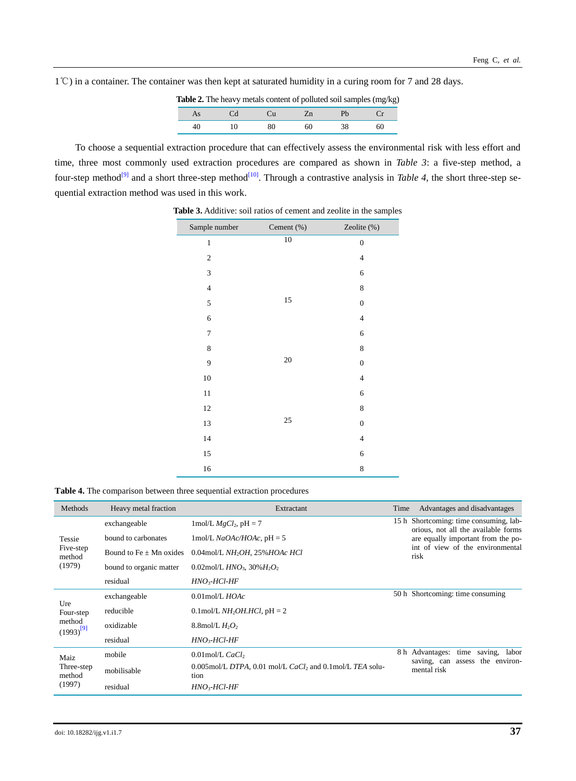<span id="page-2-0"></span>1℃) in a container. The container was then kept at saturated humidity in a curing room for 7 and 28 days.

**Table 2.** The heavy metals content of polluted soil samples (mg/kg)

|    | __     |    | . . | . . | $ -$ |
|----|--------|----|-----|-----|------|
| As | $\sim$ | Cu | 41  |     |      |
| 40 | 10     | 80 | 60  | 38  | 60   |

To choose a sequential extraction procedure that can effectively assess the environmental risk with less effort and time, three most commonly used extraction procedures are compared as shown in *[Table 3](#page-3-0)*: a five-step method, a four-step method<sup>[\[9\]](#page-8-8)</sup> and a short three-step method<sup>[\[10\]](#page-8-9)</sup>. Through a contrastive analysis in *[Table 4](#page-3-1)*, the short three-step sequential extraction method was used in this work.

| Sample number           | Cement (%) | Zeolite (%)              |
|-------------------------|------------|--------------------------|
| $\mathbf{1}$            | $10\,$     | $\boldsymbol{0}$         |
| $\mathfrak{2}$          |            | $\overline{\mathcal{A}}$ |
| 3                       |            | 6                        |
| $\overline{\mathbf{4}}$ |            | 8                        |
| 5                       | 15         | $\boldsymbol{0}$         |
| 6                       |            | $\overline{4}$           |
| 7                       |            | 6                        |
| 8                       |            | 8                        |
| 9                       | $20\,$     | $\boldsymbol{0}$         |
| $10\,$                  |            | $\overline{4}$           |
| 11                      |            | 6                        |
| 12                      |            | 8                        |
| 13                      | 25         | $\boldsymbol{0}$         |
| 14                      |            | $\overline{4}$           |
| 15                      |            | 6                        |
| 16                      |            | 8                        |

**Table 3.** Additive: soil ratios of cement and zeolite in the samples

**Table 4.** The [comparison](http://dict.youdao.com/w/comparison/) between three sequential extraction procedures

| Methods                                      | Heavy metal fraction        | Extractant                                                                      | Time                                                                          | Advantages and disadvantages                                   |  |
|----------------------------------------------|-----------------------------|---------------------------------------------------------------------------------|-------------------------------------------------------------------------------|----------------------------------------------------------------|--|
| Tessie<br>Five-step<br>method<br>(1979)      | exchangeable                | 1 mol/L $MgCl_2$ , pH = 7                                                       | 15 h Shortcoming: time consuming, lab-<br>orious, not all the available forms |                                                                |  |
|                                              | bound to carbonates         | 1mol/L $NaOAc/HOAc$ , pH = 5                                                    | are equally important from the po-                                            |                                                                |  |
|                                              | Bound to Fe $\pm$ Mn oxides | $0.04$ mol/L NH <sub>2</sub> OH, 25% HOAc HCl                                   |                                                                               | int of view of the environmental<br>risk                       |  |
|                                              | bound to organic matter     | 0.02mol/L $HNO_3$ , 30% $H_2O_2$                                                |                                                                               |                                                                |  |
|                                              | residual                    | $HNO3-HCl-HF$                                                                   |                                                                               |                                                                |  |
| Ure<br>Four-step<br>method<br>$(1993)^{[9]}$ | exchangeable                | $0.01$ mol/L $HOAc$                                                             |                                                                               | 50 h Shortcoming: time consuming                               |  |
|                                              | reducible                   | $0.1$ mol/L <i>NH</i> <sub>2</sub> <i>OH.HCl</i> , pH = 2                       |                                                                               |                                                                |  |
|                                              | oxidizable                  | 8.8 mol/L $H_2O_2$                                                              |                                                                               |                                                                |  |
|                                              | residual                    | $HNO3$ -HCl-HF                                                                  |                                                                               |                                                                |  |
| Maiz<br>Three-step<br>method<br>(1997)       | mobile                      | $0.01$ mol/L CaCl <sub>2</sub>                                                  | 8 h Advantages:                                                               | saving,<br>time<br>labor<br>assess the environ-<br>saving, can |  |
|                                              | mobilisable                 | $0.005$ mol/L DTPA, 0.01 mol/L CaCl <sub>2</sub> and 0.1mol/L TEA solu-<br>tion |                                                                               | mental risk                                                    |  |
|                                              | residual                    | $HNO3$ -HCl-HF                                                                  |                                                                               |                                                                |  |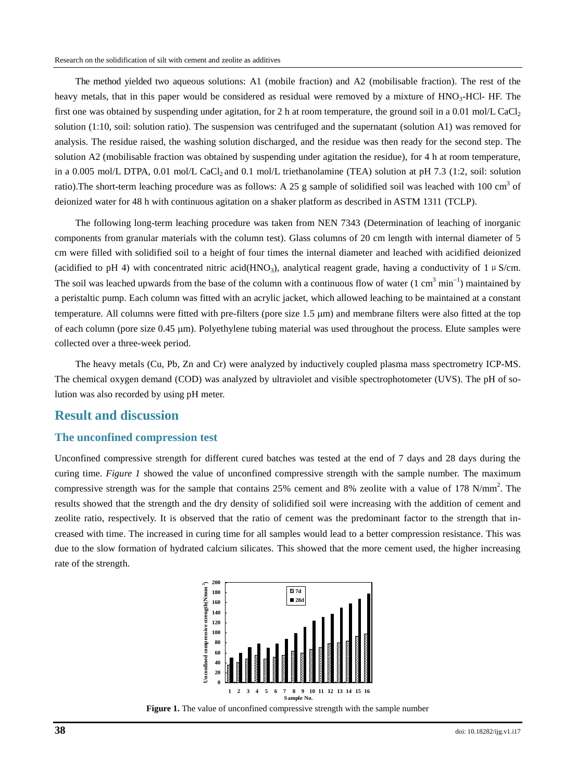<span id="page-3-0"></span>The method yielded two aqueous solutions: A1 (mobile fraction) and A2 (mobilisable fraction). The rest of the heavy metals, that in this paper would be considered as residual were removed by a mixture of  $HNO<sub>3</sub>-HCl-$  HF. The first one was obtained by suspending under agitation, for 2 h at room temperature, the ground soil in a 0.01 mol/L CaCl<sub>2</sub> solution (1:10, soil: solution ratio). The suspension was centrifuged and the supernatant (solution A1) was removed for analysis. The residue raised, the washing solution discharged, and the residue was then ready for the second step. The solution A2 (mobilisable fraction was obtained by suspending under agitation the residue), for 4 h at room temperature, in a 0.005 mol/L DTPA, 0.01 mol/L CaCl<sub>2</sub> and 0.1 mol/L triethanolamine (TEA) solution at pH 7.3 (1:2, soil: solution ratio). The short-term leaching procedure was as follows: A 25 g sample of solidified soil was leached with 100 cm<sup>3</sup> of deionized water for 48 h with continuous agitation on a shaker platform as described in ASTM 1311 (TCLP).

The following long-term leaching procedure was taken from NEN 7343 (Determination of leaching of inorganic components from granular materials with the column test). Glass columns of 20 cm length with internal diameter of 5 cm were filled with solidified soil to a height of four times the internal diameter and leached with acidified deionized (acidified to pH 4) with concentrated nitric acid(HNO<sub>3</sub>), analytical reagent grade, having a conductivity of 1  $\mu$  S/cm. The soil was leached upwards from the base of the column with a continuous flow of water  $(1 \text{ cm}^3 \text{ min}^{-1})$  maintained by a peristaltic pump. Each column was fitted with an acrylic jacket, which allowed leaching to be maintained at a constant temperature. All columns were fitted with pre-filters (pore size  $1.5 \mu m$ ) and membrane filters were also fitted at the top of each column (pore size 0.45 m). Polyethylene tubing material was used throughout the process. Elute samples were collected over a three-week period.

<span id="page-3-1"></span>The heavy metals (Cu, Pb, Zn and Cr) were analyzed by inductively coupled plasma mass spectrometry ICP-MS. The chemical oxygen demand (COD) was analyzed by ultraviolet and visible spectrophotometer (UVS). The pH of solution was also recorded by [using pH meter.](http://dict.youdao.com/w/recording_ph_meter/)

#### **Result and discussion**

#### **The unconfined compression test**

Unconfined compressive strength for different cured batches was tested at the end of 7 days and 28 days during the curing time. *[Figure 1](#page-3-2)* showed the value of unconfined compressive strength with the sample number. The maximum compressive strength was for the sample that contains 25% cement and 8% zeolite with a value of 178 N/mm<sup>2</sup>. The results showed that the strength and the dry density of solidified soil were increasing with the addition of cement and zeolite ratio, respectively. It is observed that the ratio of cement was the predominant factor to the strength that increased with time. The increased in curing time for all samples would lead to a better compression resistance. This was due to the slow formation of hydrated calcium silicates. This showed that the more cement used, the higher increasing rate of the strength.



<span id="page-3-2"></span>**Figure 1.** The value of unconfined compressive strength with the sample number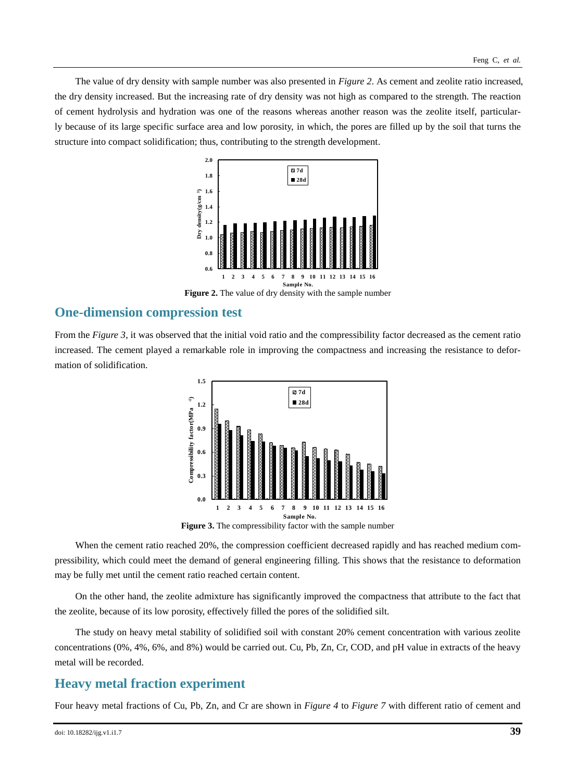The value of dry density with sample number was also presented in *[Figure 2](#page-4-0)*. As cement and zeolite ratio increased, the dry density increased. But the increasing rate of dry density was not high as compared to the strength. The reaction of cement hydrolysis and hydration was one of the reasons whereas another reason was the zeolite itself, particularly because of its large specific surface area and low porosity, in which, the pores are filled up by the soil that turns the structure into compact solidification; thus, contributing to the strength development.



**Figure 2.** The value of dry density with the sample number

### <span id="page-4-0"></span>**One-dimension compression test**

From the *[Figure 3](#page-4-1)*, it was observed that the initial void ratio and the compressibility factor decreased as the cement ratio increased. The cement played a remarkable role in improving the compactness and increasing the resistance to deformation of solidification.

<span id="page-4-1"></span>

**Figure 3.** The compressibility factor with the sample number

When the cement ratio reached 20%, the compression coefficient decreased rapidly and has reached medium compressibility, which could meet the demand of general engineering filling. This shows that the resistance to deformation may be fully met until the cement ratio reached certain content.

On the other hand, the zeolite admixture has significantly improved the compactness that attribute to the fact that the zeolite, because of its low porosity, effectively filled the pores of the solidified silt.

The study on heavy metal stability of solidified soil with constant 20% cement concentration with various zeolite concentrations (0%, 4%, 6%, and 8%) would be carried out. Cu, Pb, Zn, Cr, COD, and pH value in extracts of the heavy metal will be recorded.

### **Heavy metal fraction experiment**

Four heavy metal fractions of Cu, Pb, Zn, and Cr are shown in *[Figure 4](#page-5-0)* to *[Figure 7](#page-5-1)* with different ratio of cement and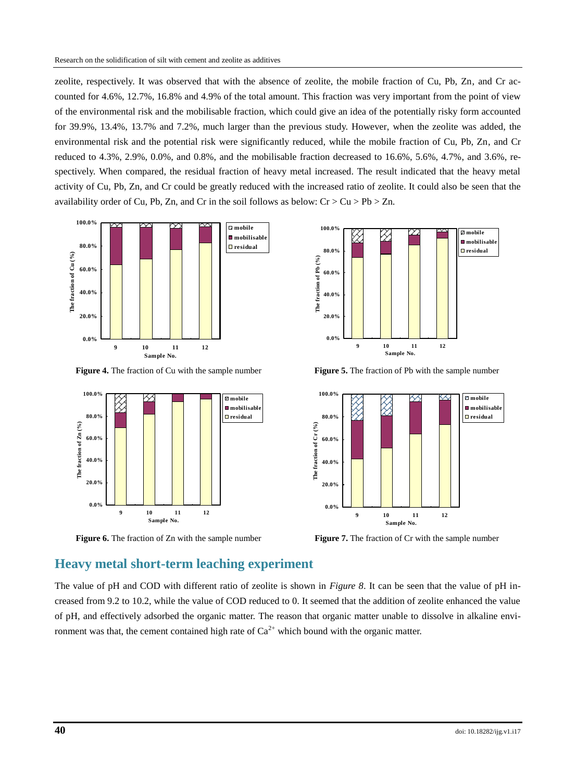zeolite, respectively. It was observed that with the absence of zeolite, the mobile fraction of Cu, Pb, Zn, and Cr accounted for 4.6%, 12.7%, 16.8% and 4.9% of the total amount. This fraction was very important from the point of view of the environmental risk and the mobilisable fraction, which could give an idea of the potentially risky form accounted for 39.9%, 13.4%, 13.7% and 7.2%, much larger than the previous study. However, when the zeolite was added, the environmental risk and the potential risk were significantly reduced, while the mobile fraction of Cu, Pb, Zn, and Cr reduced to 4.3%, 2.9%, 0.0%, and 0.8%, and the mobilisable fraction decreased to 16.6%, 5.6%, 4.7%, and 3.6%, respectively. When compared, the residual fraction of heavy metal increased. The result indicated that the heavy metal activity of Cu, Pb, Zn, and Cr could be greatly reduced with the increased ratio of zeolite. It could also be seen that the availability order of Cu, Pb, Zn, and Cr in the soil follows as below:  $Cr > Cu > Pb > Zn$ .



**Figure 4.** The fraction of Cu with the sample number **Figure 5.** The fraction of Pb with the sample number

<span id="page-5-0"></span>



<span id="page-5-1"></span>

**Figure 6.** The fraction of Zn with the sample number **Figure 7.** The fraction of Cr with the sample number

#### **Heavy metal short-term leaching experiment**

The value of pH and COD with different ratio of zeolite is shown in *[Figure 8](#page-6-0)*. It can be seen that the value of pH increased from 9.2 to 10.2, while the value of COD reduced to 0. It seemed that the addition of zeolite enhanced the value of pH, and effectively adsorbed the organic matter. The reason that organic matter unable to dissolve in alkaline environment was that, the cement contained high rate of  $Ca^{2+}$  which bound with the organic matter.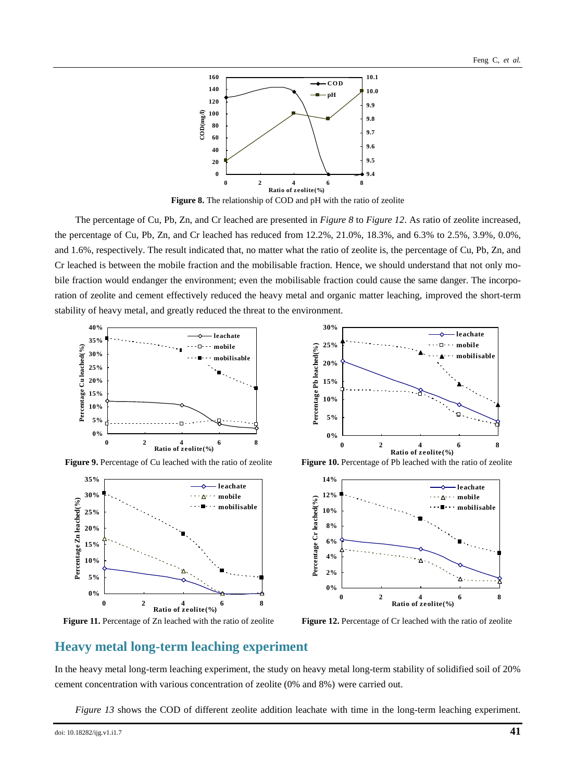

**Figure 8.** The relationship of COD and pH with the ratio of zeolite

<span id="page-6-0"></span>The percentage of Cu, Pb, Zn, and Cr leached are presented in *[Figure 8](#page-6-0)* to *[Figure 12](#page-6-1)*. As ratio of zeolite increased, the percentage of Cu, Pb, Zn, and Cr leached has reduced from 12.2%, 21.0%, 18.3%, and 6.3% to 2.5%, 3.9%, 0.0%, and 1.6%, respectively. The result indicated that, no matter what the ratio of zeolite is, the percentage of Cu, Pb, Zn, and Cr leached is between the mobile fraction and the mobilisable fraction. Hence, we should understand that not only mobile fraction would endanger the environment; even the mobilisable fraction could cause the same danger. The incorporation of zeolite and cement effectively reduced the heavy metal and organic matter leaching, improved the short-term stability of heavy metal, and greatly reduced the threat to the environment.





**Figure 11.** Percentage of Zn leached with the ratio of zeolite **Figure 12.** Percentage of Cr leached with the ratio of zeolite







<span id="page-6-1"></span>

#### **Heavy metal long-term leaching experiment**

In the heavy metal long-term leaching experiment, the study on heavy metal long-term stability of solidified soil of 20% cement concentration with various concentration of zeolite (0% and 8%) were carried out.

*[Figure 13](#page-7-0)* shows the COD of different zeolite addition leachate with time in the long-term leaching experiment.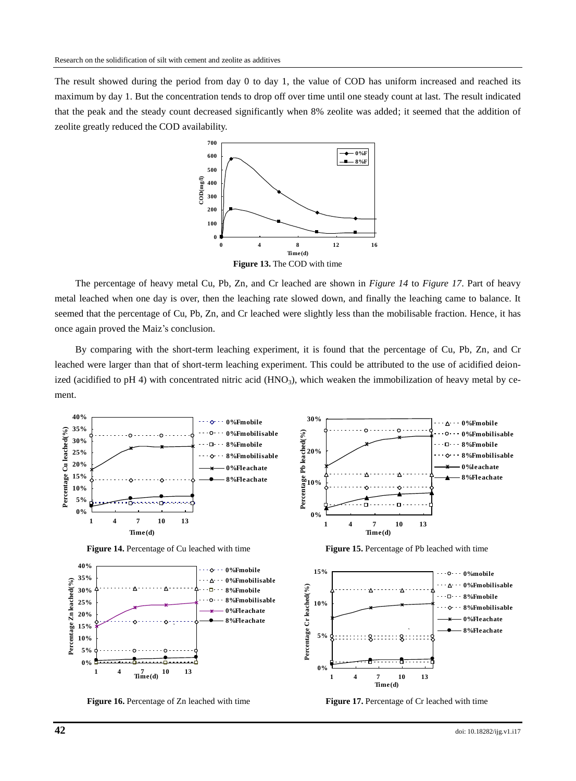The result showed during the period from day 0 to day 1, the value of COD has uniform increased and reached its maximum by day 1. But the concentration tends to drop off over time until one steady count at last. The result indicated that the peak and the steady count decreased significantly when 8% zeolite was added; it seemed that the addition of zeolite greatly reduced the COD availability.



<span id="page-7-0"></span>The percentage of heavy metal Cu, Pb, Zn, and Cr leached are shown in *Figure 14* to *[Figure 17](#page-7-1)*. Part of heavy metal leached when one day is over, then the leaching rate slowed down, and finally the leaching came to balance. It seemed that the percentage of Cu, Pb, Zn, and Cr leached were slightly less than the mobilisable fraction. Hence, it has once again proved the Maiz's conclusion.

By comparing with the short-term leaching experiment, it is found that the percentage of Cu, Pb, Zn, and Cr leached were larger than that of short-term leaching experiment. This could be attributed to the use of acidified deionized (acidified to pH 4) with concentrated nitric acid  $(HNO<sub>3</sub>)$ , which weaken the immobilization of heavy metal by cement.



**Figure 16.** Percentage of Zn leached with time **Figure 17.** Percentage of Cr leached with time

<span id="page-7-1"></span>